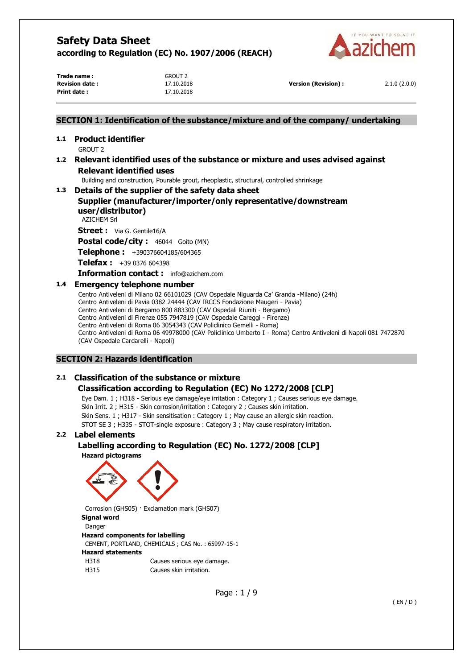

**Trade name :** GROUT 2 **Print date :** 17.10.2018

**Revision date :** 17.10.2018 **Version (Revision) :** 2.1.0 (2.0.0)

## **SECTION 1: Identification of the substance/mixture and of the company/ undertaking**

#### **1.1 Product identifier**  GROUT 2

## **1.2 Relevant identified uses of the substance or mixture and uses advised against Relevant identified uses**

Building and construction, Pourable grout, rheoplastic, structural, controlled shrinkage

## **1.3 Details of the supplier of the safety data sheet**

## **Supplier (manufacturer/importer/only representative/downstream user/distributor)**

AZICHEM Srl

**Street :** Via G. Gentile16/A

Postal code/city : 46044 Goito (MN)

**Telephone :** +390376604185/604365

**Telefax :** +39 0376 604398

**Information contact :** info@azichem.com

## **1.4 Emergency telephone number**

Centro Antiveleni di Milano 02 66101029 (CAV Ospedale Niguarda Ca' Granda -Milano) (24h) Centro Antiveleni di Pavia 0382 24444 (CAV IRCCS Fondazione Maugeri - Pavia) Centro Antiveleni di Bergamo 800 883300 (CAV Ospedali Riuniti - Bergamo) Centro Antiveleni di Firenze 055 7947819 (CAV Ospedale Careggi - Firenze) Centro Antiveleni di Roma 06 3054343 (CAV Policlinico Gemelli - Roma) Centro Antiveleni di Roma 06 49978000 (CAV Policlinico Umberto I - Roma) Centro Antiveleni di Napoli 081 7472870 (CAV Ospedale Cardarelli - Napoli)

## **SECTION 2: Hazards identification**

## **2.1 Classification of the substance or mixture**

## **Classification according to Regulation (EC) No 1272/2008 [CLP]**

Eye Dam. 1 ; H318 - Serious eye damage/eye irritation : Category 1 ; Causes serious eye damage. Skin Irrit. 2 ; H315 - Skin corrosion/irritation : Category 2 ; Causes skin irritation. Skin Sens. 1 ; H317 - Skin sensitisation : Category 1 ; May cause an allergic skin reaction. STOT SE 3 ; H335 - STOT-single exposure : Category 3 ; May cause respiratory irritation.

## **2.2 Label elements**

# **Labelling according to Regulation (EC) No. 1272/2008 [CLP]**

**Hazard pictograms** 



Corrosion (GHS05) · Exclamation mark (GHS07) **Signal word**  Danger **Hazard components for labelling**  CEMENT, PORTLAND, CHEMICALS ; CAS No. : 65997-15-1 **Hazard statements**  H318 Causes serious eye damage. H315 Causes skin irritation.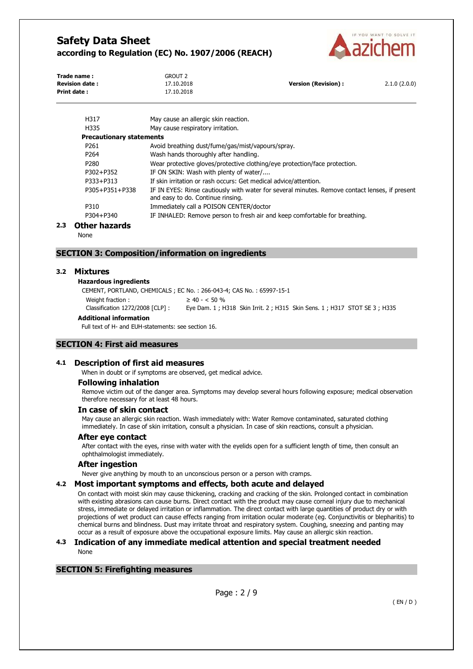

| Trade name:           | <b>GROUT 2</b> |                     |              |
|-----------------------|----------------|---------------------|--------------|
| <b>Revision date:</b> | 17.10.2018     | Version (Revision): | 2.1.0(2.0.0) |
| Print date:           | 17.10.2018     |                     |              |
|                       |                |                     |              |

| H317                            | May cause an allergic skin reaction.                                                                                                |
|---------------------------------|-------------------------------------------------------------------------------------------------------------------------------------|
| H335                            | May cause respiratory irritation.                                                                                                   |
| <b>Precautionary statements</b> |                                                                                                                                     |
| P <sub>261</sub>                | Avoid breathing dust/fume/gas/mist/vapours/spray.                                                                                   |
| P <sub>264</sub>                | Wash hands thoroughly after handling.                                                                                               |
| P <sub>280</sub>                | Wear protective gloves/protective clothing/eye protection/face protection.                                                          |
| P302+P352                       | IF ON SKIN: Wash with plenty of water/                                                                                              |
| P333+P313                       | If skin irritation or rash occurs: Get medical advice/attention.                                                                    |
| P305+P351+P338                  | IF IN EYES: Rinse cautiously with water for several minutes. Remove contact lenses, if present<br>and easy to do. Continue rinsing. |
| P310                            | Immediately call a POISON CENTER/doctor                                                                                             |
| P304+P340                       | IF INHALED: Remove person to fresh air and keep comfortable for breathing.                                                          |
| thar hasarda                    |                                                                                                                                     |

## **2.3 Other hazards**

None

## **SECTION 3: Composition/information on ingredients**

#### **3.2 Mixtures**

#### **Hazardous ingredients**

CEMENT, PORTLAND, CHEMICALS ; EC No. : 266-043-4; CAS No. : 65997-15-1 Weight fraction :  $\geq 40 - 50 \%$ Classification 1272/2008 [CLP] : Eye Dam. 1 ; H318 Skin Irrit. 2 ; H315 Skin Sens. 1 ; H317 STOT SE 3 ; H335

#### **Additional information**

Full text of H- and EUH-statements: see section 16.

## **SECTION 4: First aid measures**

#### **4.1 Description of first aid measures**

When in doubt or if symptoms are observed, get medical advice.

#### **Following inhalation**

Remove victim out of the danger area. Symptoms may develop several hours following exposure; medical observation therefore necessary for at least 48 hours.

#### **In case of skin contact**

May cause an allergic skin reaction. Wash immediately with: Water Remove contaminated, saturated clothing immediately. In case of skin irritation, consult a physician. In case of skin reactions, consult a physician.

#### **After eye contact**

After contact with the eyes, rinse with water with the eyelids open for a sufficient length of time, then consult an ophthalmologist immediately.

#### **After ingestion**

Never give anything by mouth to an unconscious person or a person with cramps.

#### **4.2 Most important symptoms and effects, both acute and delayed**

On contact with moist skin may cause thickening, cracking and cracking of the skin. Prolonged contact in combination with existing abrasions can cause burns. Direct contact with the product may cause corneal injury due to mechanical stress, immediate or delayed irritation or inflammation. The direct contact with large quantities of product dry or with projections of wet product can cause effects ranging from irritation ocular moderate (eg. Conjunctivitis or blepharitis) to chemical burns and blindness. Dust may irritate throat and respiratory system. Coughing, sneezing and panting may occur as a result of exposure above the occupational exposure limits. May cause an allergic skin reaction.

#### **4.3 Indication of any immediate medical attention and special treatment needed**  None

## **SECTION 5: Firefighting measures**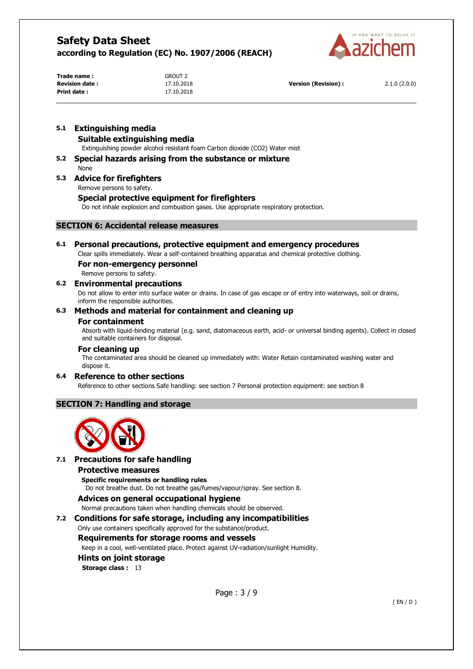

**Trade name :** GROUT 2 **Print date :** 17.10.2018

**Revision date :** 17.10.2018 **Version (Revision) :** 2.1.0 (2.0.0)

# **5.1 Extinguishing media**

## **Suitable extinguishing media**

Extinguishing powder alcohol resistant foam Carbon dioxide (CO2) Water mist

## **5.2 Special hazards arising from the substance or mixture**

None

## **5.3 Advice for firefighters**

Remove persons to safety.

## **Special protective equipment for firefighters**

Do not inhale explosion and combustion gases. Use appropriate respiratory protection.

## **SECTION 6: Accidental release measures**

## **6.1 Personal precautions, protective equipment and emergency procedures**

Clear spills immediately. Wear a self-contained breathing apparatus and chemical protective clothing.

#### **For non-emergency personnel**

Remove persons to safety.

## **6.2 Environmental precautions**

Do not allow to enter into surface water or drains. In case of gas escape or of entry into waterways, soil or drains, inform the responsible authorities.

## **6.3 Methods and material for containment and cleaning up**

#### **For containment**

Absorb with liquid-binding material (e.g. sand, diatomaceous earth, acid- or universal binding agents). Collect in closed and suitable containers for disposal.

#### **For cleaning up**

The contaminated area should be cleaned up immediately with: Water Retain contaminated washing water and dispose it.

## **6.4 Reference to other sections**

Reference to other sections Safe handling: see section 7 Personal protection equipment: see section 8

## **SECTION 7: Handling and storage**



## **7.1 Precautions for safe handling**

## **Protective measures**

**Specific requirements or handling rules**  Do not breathe dust. Do not breathe gas/fumes/vapour/spray. See section 8.

## **Advices on general occupational hygiene**

Normal precautions taken when handling chemicals should be observed.

## **7.2 Conditions for safe storage, including any incompatibilities**

Only use containers specifically approved for the substance/product.

## **Requirements for storage rooms and vessels**

Keep in a cool, well-ventilated place. Protect against UV-radiation/sunlight Humidity.

## **Hints on joint storage**

**Storage class :** 13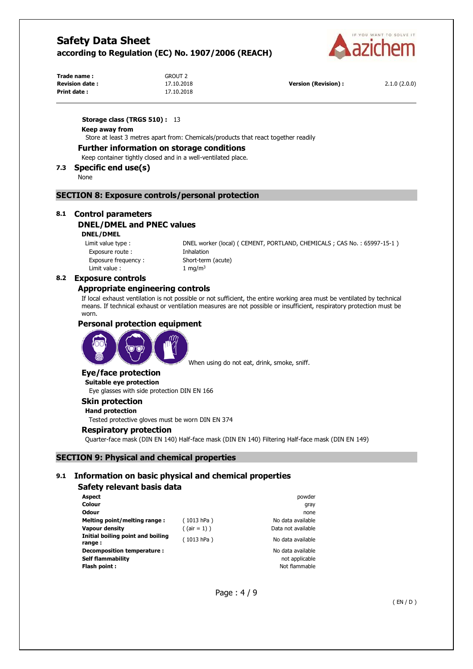

| Trade name:           | <b>GROUT 2</b> |                      |              |
|-----------------------|----------------|----------------------|--------------|
| <b>Revision date:</b> | 17.10.2018     | Version (Revision) : | 2.1.0(2.0.0) |
| Print date:           | 17.10.2018     |                      |              |

**Storage class (TRGS 510) :** 13

#### **Keep away from**

Store at least 3 metres apart from: Chemicals/products that react together readily

#### **Further information on storage conditions**

Keep container tightly closed and in a well-ventilated place.

#### **7.3 Specific end use(s)**

None

#### **SECTION 8: Exposure controls/personal protection**

#### **8.1 Control parameters**

# **DNEL/DMEL and PNEC values**

## **DNEL/DMEL**

Exposure route : Thhalation Exposure frequency : Short-term (acute) Limit value :  $1 \text{ ma/m}^3$ 

Limit value type : DNEL worker (local) ( CEMENT, PORTLAND, CHEMICALS ; CAS No. : 65997-15-1 )

#### **8.2 Exposure controls**

#### **Appropriate engineering controls**

If local exhaust ventilation is not possible or not sufficient, the entire working area must be ventilated by technical means. If technical exhaust or ventilation measures are not possible or insufficient, respiratory protection must be worn.

#### **Personal protection equipment**



When using do not eat, drink, smoke, sniff.

## **Eye/face protection**

**Suitable eye protection**  Eye glasses with side protection DIN EN 166

## **Skin protection**

**Hand protection** 

Tested protective gloves must be worn DIN EN 374

#### **Respiratory protection**

Quarter-face mask (DIN EN 140) Half-face mask (DIN EN 140) Filtering Half-face mask (DIN EN 149)

## **SECTION 9: Physical and chemical properties**

#### **9.1 Information on basic physical and chemical properties**

## **Safety relevant basis data**

| Aspect                                      |                 | powder             |
|---------------------------------------------|-----------------|--------------------|
| Colour                                      |                 | gray               |
| <b>Odour</b>                                |                 | none               |
| Melting point/melting range:                | (1013 hPa)      | No data available  |
| <b>Vapour density</b>                       | $($ (air = 1) ) | Data not available |
| Initial boiling point and boiling<br>range: | (1013 hPa)      | No data available  |
| Decomposition temperature :                 |                 | No data available  |
| <b>Self flammability</b>                    |                 | not applicable     |
| Flash point:                                |                 | Not flammable      |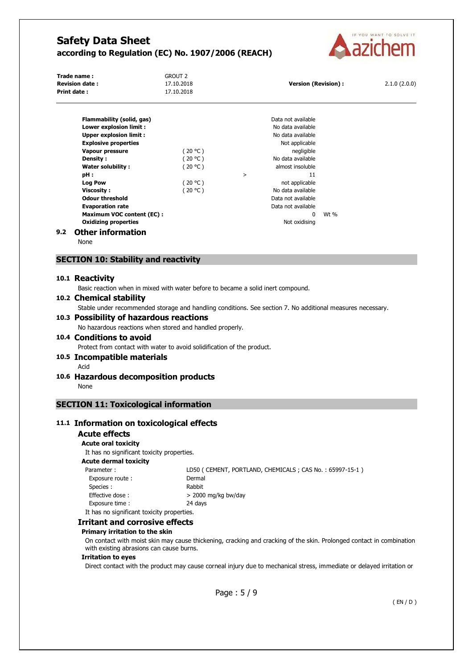

| Trade name:<br><b>Revision date:</b><br><b>Print date:</b> | <b>GROUT 2</b><br>17.10.2018<br>17.10.2018 | <b>Version (Revision):</b> | 2.1.0(2.0.0) |
|------------------------------------------------------------|--------------------------------------------|----------------------------|--------------|
| Flammability (solid, gas)                                  |                                            | Data not available         |              |
| Lower explosion limit :                                    |                                            | No data available          |              |
| <b>Upper explosion limit:</b>                              |                                            | No data available          |              |
| <b>Explosive properties</b>                                |                                            | Not applicable             |              |
| Vapour pressure                                            | (20 °C)                                    | negligible                 |              |
| Density:                                                   | (20 °C )                                   | No data available          |              |
| <b>Water solubility:</b>                                   | $20 °C$ )                                  | almost insoluble           |              |
| pH:                                                        |                                            | 11<br>>                    |              |
| <b>Log Pow</b>                                             | (20 °C)                                    | not applicable             |              |
| Viscosity:                                                 | (20 °C )                                   | No data available          |              |
| <b>Odour threshold</b>                                     |                                            | Data not available         |              |

## **9.2 Other information**

None

#### **SECTION 10: Stability and reactivity**

#### **10.1 Reactivity**

Basic reaction when in mixed with water before to became a solid inert compound.

**Evaporation rate Evaporation rate Data not available Maximum VOC content (EC) :**  $\hspace{1.6cm}$  **0** Wt % **Oxidizing properties** Not oxidising

#### **10.2 Chemical stability**

Stable under recommended storage and handling conditions. See section 7. No additional measures necessary.

#### **10.3 Possibility of hazardous reactions**

No hazardous reactions when stored and handled properly.

## **10.4 Conditions to avoid**

Protect from contact with water to avoid solidification of the product.

## **10.5 Incompatible materials**

Acid

## **10.6 Hazardous decomposition products**

None

## **SECTION 11: Toxicological information**

## **11.1 Information on toxicological effects**

## **Acute effects**

**Acute oral toxicity** 

It has no significant toxicity properties.

#### **Acute dermal toxicity**

| Parameter:                                 | LD50 (CEMENT, PORTLAND, CHEMICALS; CAS No.: 65997-15-1) |
|--------------------------------------------|---------------------------------------------------------|
| Exposure route:                            | Dermal                                                  |
| Species :                                  | Rabbit                                                  |
| Effective dose:                            | $>$ 2000 mg/kg bw/day                                   |
| Exposure time:                             | 24 davs                                                 |
| It has no significant toxicity properties. |                                                         |

#### **Irritant and corrosive effects**

#### **Primary irritation to the skin**

On contact with moist skin may cause thickening, cracking and cracking of the skin. Prolonged contact in combination with existing abrasions can cause burns.

#### **Irritation to eyes**

Direct contact with the product may cause corneal injury due to mechanical stress, immediate or delayed irritation or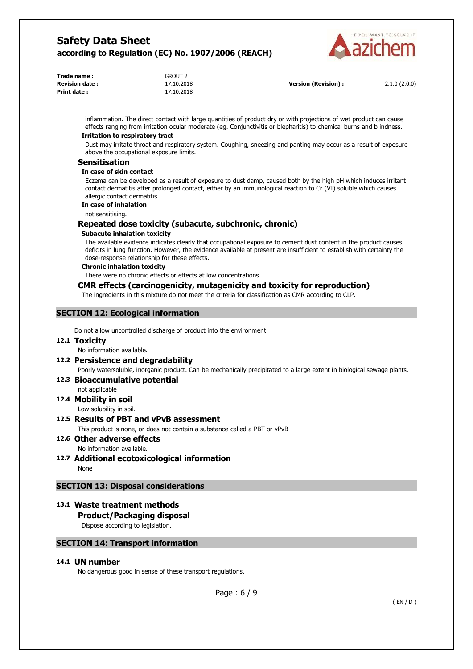

| Trade name:           | <b>GROUT 2</b> |                            |              |
|-----------------------|----------------|----------------------------|--------------|
| <b>Revision date:</b> | 17.10.2018     | <b>Version (Revision):</b> | 2.1.0(2.0.0) |
| Print date:           | 17.10.2018     |                            |              |

inflammation. The direct contact with large quantities of product dry or with projections of wet product can cause effects ranging from irritation ocular moderate (eg. Conjunctivitis or blepharitis) to chemical burns and blindness.

## **Irritation to respiratory tract**

Dust may irritate throat and respiratory system. Coughing, sneezing and panting may occur as a result of exposure above the occupational exposure limits.

#### **Sensitisation**

#### **In case of skin contact**

Eczema can be developed as a result of exposure to dust damp, caused both by the high pH which induces irritant contact dermatitis after prolonged contact, either by an immunological reaction to Cr (VI) soluble which causes allergic contact dermatitis.

## **In case of inhalation**

not sensitising.

## **Repeated dose toxicity (subacute, subchronic, chronic)**

#### **Subacute inhalation toxicity**

The available evidence indicates clearly that occupational exposure to cement dust content in the product causes deficits in lung function. However, the evidence available at present are insufficient to establish with certainty the dose-response relationship for these effects.

#### **Chronic inhalation toxicity**

There were no chronic effects or effects at low concentrations.

## **CMR effects (carcinogenicity, mutagenicity and toxicity for reproduction)**

The ingredients in this mixture do not meet the criteria for classification as CMR according to CLP.

## **SECTION 12: Ecological information**

Do not allow uncontrolled discharge of product into the environment.

## **12.1 Toxicity**

No information available.

## **12.2 Persistence and degradability**

Poorly watersoluble, inorganic product. Can be mechanically precipitated to a large extent in biological sewage plants.

## **12.3 Bioaccumulative potential**

#### not applicable **12.4 Mobility in soil**

Low solubility in soil.

## **12.5 Results of PBT and vPvB assessment**

This product is none, or does not contain a substance called a PBT or vPvB

#### **12.6 Other adverse effects**  No information available.

**12.7 Additional ecotoxicological information** 

None

## **SECTION 13: Disposal considerations**

## **13.1 Waste treatment methods**

## **Product/Packaging disposal**

Dispose according to legislation.

## **SECTION 14: Transport information**

## **14.1 UN number**

No dangerous good in sense of these transport regulations.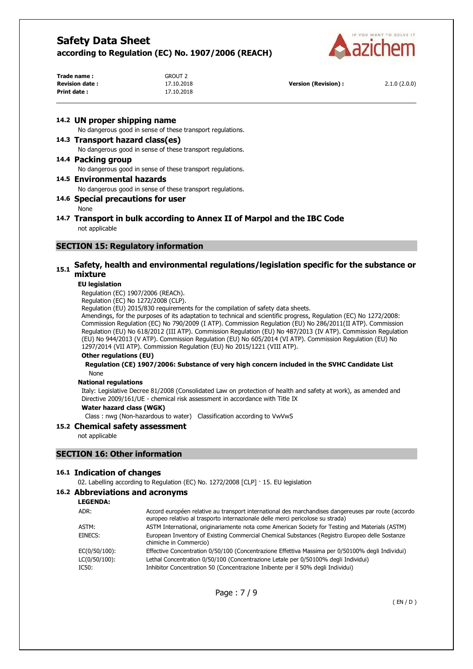

| Trade name :          | GROUT 2    |                     |              |
|-----------------------|------------|---------------------|--------------|
| <b>Revision date:</b> | 17.10.2018 | Version (Revision): | 2.1.0(2.0.0) |
| Print date:           | 17.10.2018 |                     |              |

#### **14.2 UN proper shipping name**

No dangerous good in sense of these transport regulations.

#### **14.3 Transport hazard class(es)**

No dangerous good in sense of these transport regulations.

#### **14.4 Packing group**

No dangerous good in sense of these transport regulations.

#### **14.5 Environmental hazards**

No dangerous good in sense of these transport regulations.

## **14.6 Special precautions for user**

None

#### **14.7 Transport in bulk according to Annex II of Marpol and the IBC Code**  not applicable

## **SECTION 15: Regulatory information**

## **15.1 Safety, health and environmental regulations/legislation specific for the substance or mixture**

#### **EU legislation**

Regulation (EC) 1907/2006 (REACh).

Regulation (EC) No 1272/2008 (CLP).

Regulation (EU) 2015/830 requirements for the compilation of safety data sheets.

Amendings, for the purposes of its adaptation to technical and scientific progress, Regulation (EC) No 1272/2008: Commission Regulation (EC) No 790/2009 (I ATP). Commission Regulation (EU) No 286/2011(II ATP). Commission Regulation (EU) No 618/2012 (III ATP). Commission Regulation (EU) No 487/2013 (IV ATP). Commission Regulation (EU) No 944/2013 (V ATP). Commission Regulation (EU) No 605/2014 (VI ATP). Commission Regulation (EU) No 1297/2014 (VII ATP). Commission Regulation (EU) No 2015/1221 (VIII ATP).

#### **Other regulations (EU)**

**Regulation (CE) 1907/2006: Substance of very high concern included in the SVHC Candidate List**  None

#### **National regulations**

Italy: Legislative Decree 81/2008 (Consolidated Law on protection of health and safety at work), as amended and Directive 2009/161/UE - chemical risk assessment in accordance with Title IX

#### **Water hazard class (WGK)**

Class : nwg (Non-hazardous to water) Classification according to VwVwS

#### **15.2 Chemical safety assessment**

not applicable

#### **SECTION 16: Other information**

#### **16.1 Indication of changes**

02. Labelling according to Regulation (EC) No. 1272/2008 [CLP] · 15. EU legislation

#### **16.2 Abbreviations and acronyms**

**LEGENDA:**

| ADR:          | Accord européen relative au transport international des marchandises dangereuses par route (accordo<br>europeo relativo al trasporto internazionale delle merci pericolose su strada) |
|---------------|---------------------------------------------------------------------------------------------------------------------------------------------------------------------------------------|
| ASTM:         | ASTM International, originariamente nota come American Society for Testing and Materials (ASTM)                                                                                       |
| EINECS:       | European Inventory of Existing Commercial Chemical Substances (Registro Europeo delle Sostanze<br>chimiche in Commercio)                                                              |
| EC(0/50/100): | Effective Concentration 0/50/100 (Concentrazione Effettiva Massima per 0/50100% degli Individui)                                                                                      |
| LC(0/50/100): | Lethal Concentration 0/50/100 (Concentrazione Letale per 0/50100% degli Individui)                                                                                                    |
| IC50:         | Inhibitor Concentration 50 (Concentrazione Inibente per il 50% degli Individui)                                                                                                       |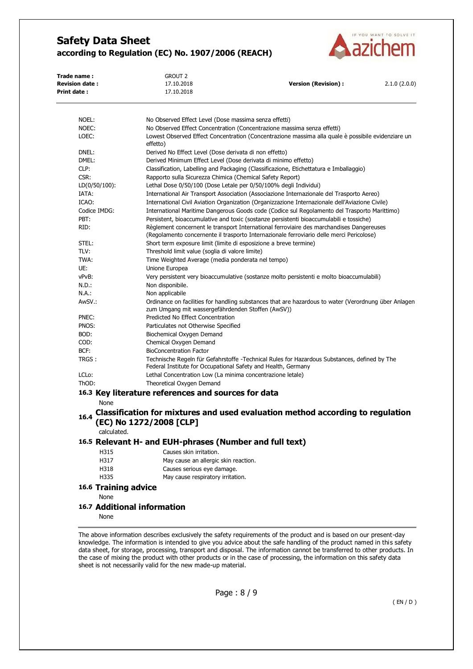

| Trade name :           |                             | <b>GROUT 2</b>                                                                                                                                            |                                                                                                                                                                                      |              |
|------------------------|-----------------------------|-----------------------------------------------------------------------------------------------------------------------------------------------------------|--------------------------------------------------------------------------------------------------------------------------------------------------------------------------------------|--------------|
| <b>Revision date :</b> |                             | 17.10.2018                                                                                                                                                | <b>Version (Revision):</b>                                                                                                                                                           | 2.1.0(2.0.0) |
| Print date :           |                             | 17.10.2018                                                                                                                                                |                                                                                                                                                                                      |              |
| NOEL:                  |                             | No Observed Effect Level (Dose massima senza effetti)                                                                                                     |                                                                                                                                                                                      |              |
| NOEC:                  |                             |                                                                                                                                                           | No Observed Effect Concentration (Concentrazione massima senza effetti)                                                                                                              |              |
| LOEC:                  |                             | effetto)                                                                                                                                                  | Lowest Observed Effect Concentration (Concentrazione massima alla quale è possibile evidenziare un                                                                                   |              |
| DNEL:                  |                             | Derived No Effect Level (Dose derivata di non effetto)                                                                                                    |                                                                                                                                                                                      |              |
| DMEL:                  |                             | Derived Minimum Effect Level (Dose derivata di minimo effetto)                                                                                            |                                                                                                                                                                                      |              |
| CLP:                   |                             |                                                                                                                                                           | Classification, Labelling and Packaging (Classificazione, Etichettatura e Imballaggio)                                                                                               |              |
| CSR:                   |                             | Rapporto sulla Sicurezza Chimica (Chemical Safety Report)                                                                                                 |                                                                                                                                                                                      |              |
|                        | $LD(0/50/100)$ :            | Lethal Dose 0/50/100 (Dose Letale per 0/50/100% degli Individui)                                                                                          |                                                                                                                                                                                      |              |
| IATA:                  |                             |                                                                                                                                                           | International Air Transport Association (Associazione Internazionale del Trasporto Aereo)                                                                                            |              |
| ICAO:                  |                             |                                                                                                                                                           | International Civil Aviation Organization (Organizzazione Internazionale dell'Aviazione Civile)                                                                                      |              |
|                        | Codice IMDG:                |                                                                                                                                                           | International Maritime Dangerous Goods code (Codice sul Regolamento del Trasporto Marittimo)                                                                                         |              |
| PBT:                   |                             |                                                                                                                                                           | Persistent, bioaccumulative and toxic (sostanze persistenti bioaccumulabili e tossiche)                                                                                              |              |
| RID:                   |                             |                                                                                                                                                           | Règlement concernent le transport International ferroviaire des marchandises Dangereuses<br>(Regolamento concernente il trasporto Internazionale ferroviario delle merci Pericolose) |              |
| STEL:                  |                             | Short term exposure limit (limite di esposizione a breve termine)                                                                                         |                                                                                                                                                                                      |              |
| TLV:                   |                             | Threshold limit value (soglia di valore limite)                                                                                                           |                                                                                                                                                                                      |              |
| TWA:                   |                             | Time Weighted Average (media ponderata nel tempo)                                                                                                         |                                                                                                                                                                                      |              |
| UE:                    |                             | Unione Europea                                                                                                                                            |                                                                                                                                                                                      |              |
| vPvB:                  |                             |                                                                                                                                                           | Very persistent very bioaccumulative (sostanze molto persistenti e molto bioaccumulabili)                                                                                            |              |
| N.D.:                  |                             | Non disponibile.                                                                                                                                          |                                                                                                                                                                                      |              |
| N.A.:                  |                             | Non applicabile                                                                                                                                           |                                                                                                                                                                                      |              |
| AwSV.:                 |                             | Ordinance on facilities for handling substances that are hazardous to water (Verordnung über Anlagen<br>zum Umgang mit wassergefährdenden Stoffen (AwSV)) |                                                                                                                                                                                      |              |
| PNEC:                  |                             | Predicted No Effect Concentration                                                                                                                         |                                                                                                                                                                                      |              |
| PNOS:                  |                             | Particulates not Otherwise Specified                                                                                                                      |                                                                                                                                                                                      |              |
| BOD:                   |                             | Biochemical Oxygen Demand                                                                                                                                 |                                                                                                                                                                                      |              |
| COD:                   |                             | Chemical Oxygen Demand                                                                                                                                    |                                                                                                                                                                                      |              |
| BCF:                   |                             | <b>BioConcentration Factor</b>                                                                                                                            |                                                                                                                                                                                      |              |
| TRGS:                  |                             | Federal Institute for Occupational Safety and Health, Germany                                                                                             | Technische Regeln für Gefahrstoffe -Technical Rules for Hazardous Substances, defined by The                                                                                         |              |
| LCL <sub>o</sub> :     |                             | Lethal Concentration Low (La minima concentrazione letale)                                                                                                |                                                                                                                                                                                      |              |
| ThOD:                  |                             | Theoretical Oxygen Demand                                                                                                                                 |                                                                                                                                                                                      |              |
|                        |                             | 16.3 Key literature references and sources for data                                                                                                       |                                                                                                                                                                                      |              |
|                        | None                        |                                                                                                                                                           |                                                                                                                                                                                      |              |
| 16.4                   |                             | (EC) No 1272/2008 [CLP]                                                                                                                                   | Classification for mixtures and used evaluation method according to regulation                                                                                                       |              |
|                        | calculated.                 |                                                                                                                                                           |                                                                                                                                                                                      |              |
|                        |                             | 16.5 Relevant H- and EUH-phrases (Number and full text)                                                                                                   |                                                                                                                                                                                      |              |
|                        | H315                        | Causes skin irritation.                                                                                                                                   |                                                                                                                                                                                      |              |
|                        | H317                        | May cause an allergic skin reaction.                                                                                                                      |                                                                                                                                                                                      |              |
|                        | H318                        | Causes serious eye damage.                                                                                                                                |                                                                                                                                                                                      |              |
|                        | H335                        | May cause respiratory irritation.                                                                                                                         |                                                                                                                                                                                      |              |
|                        | <b>16.6 Training advice</b> |                                                                                                                                                           |                                                                                                                                                                                      |              |
|                        | None                        |                                                                                                                                                           |                                                                                                                                                                                      |              |
|                        |                             |                                                                                                                                                           |                                                                                                                                                                                      |              |
|                        | None                        | 16.7 Additional information                                                                                                                               |                                                                                                                                                                                      |              |

The above information describes exclusively the safety requirements of the product and is based on our present-day knowledge. The information is intended to give you advice about the safe handling of the product named in this safety data sheet, for storage, processing, transport and disposal. The information cannot be transferred to other products. In the case of mixing the product with other products or in the case of processing, the information on this safety data sheet is not necessarily valid for the new made-up material.